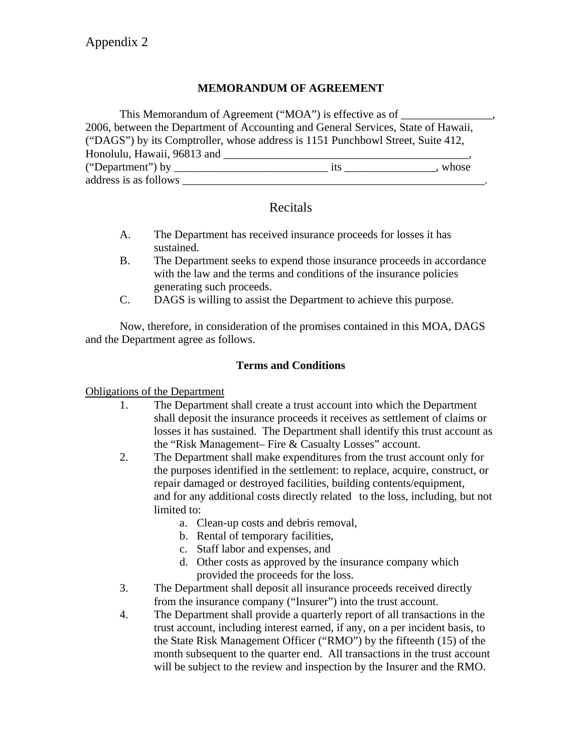## **MEMORANDUM OF AGREEMENT**

This Memorandum of Agreement ("MOA") is effective as of 2006, between the Department of Accounting and General Services, State of Hawaii, ("DAGS") by its Comptroller, whose address is 1151 Punchbowl Street, Suite 412, Honolulu, Hawaii, 96813 and \_\_\_\_\_\_\_\_\_\_\_\_\_\_\_\_\_\_\_\_\_\_\_\_\_\_\_\_\_\_\_\_\_\_\_\_\_\_\_\_\_\_\_, ("Department") by  $\qquad \qquad$  its  $\qquad \qquad$ , whose address is as follows

# Recitals

- A. The Department has received insurance proceeds for losses it has sustained.
- B. The Department seeks to expend those insurance proceeds in accordance with the law and the terms and conditions of the insurance policies generating such proceeds.
- C. DAGS is willing to assist the Department to achieve this purpose.

Now, therefore, in consideration of the promises contained in this MOA, DAGS and the Department agree as follows.

## **Terms and Conditions**

#### Obligations of the Department

- 1. The Department shall create a trust account into which the Department shall deposit the insurance proceeds it receives as settlement of claims or losses it has sustained. The Department shall identify this trust account as the "Risk Management– Fire & Casualty Losses" account.
- 2. The Department shall make expenditures from the trust account only for the purposes identified in the settlement: to replace, acquire, construct, or repair damaged or destroyed facilities, building contents/equipment, and for any additional costs directly related to the loss, including, but not limited to:
	- a. Clean-up costs and debris removal,
	- b. Rental of temporary facilities,
	- c. Staff labor and expenses, and
	- d. Other costs as approved by the insurance company which provided the proceeds for the loss.
- 3. The Department shall deposit all insurance proceeds received directly from the insurance company ("Insurer") into the trust account.
- 4. The Department shall provide a quarterly report of all transactions in the trust account, including interest earned, if any, on a per incident basis, to the State Risk Management Officer ("RMO") by the fifteenth (15) of the month subsequent to the quarter end. All transactions in the trust account will be subject to the review and inspection by the Insurer and the RMO.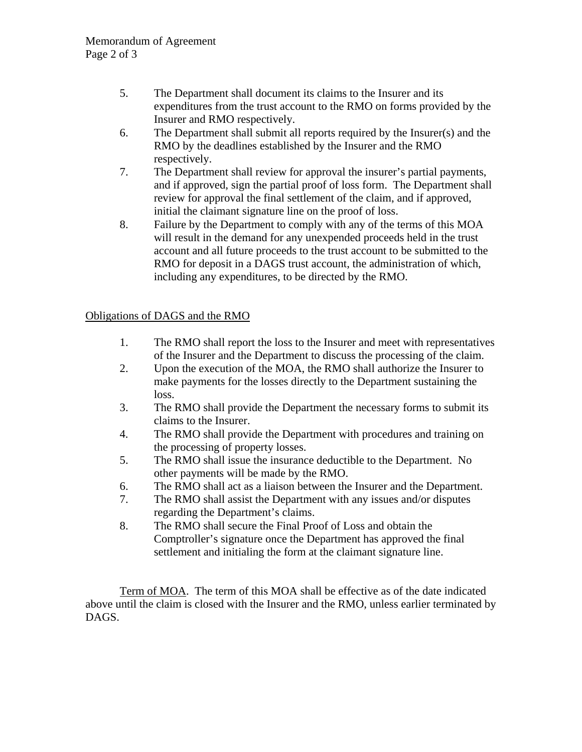- 5. The Department shall document its claims to the Insurer and its expenditures from the trust account to the RMO on forms provided by the Insurer and RMO respectively.
- 6. The Department shall submit all reports required by the Insurer(s) and the RMO by the deadlines established by the Insurer and the RMO respectively.
- 7. The Department shall review for approval the insurer's partial payments, and if approved, sign the partial proof of loss form. The Department shall review for approval the final settlement of the claim, and if approved, initial the claimant signature line on the proof of loss.
- 8. Failure by the Department to comply with any of the terms of this MOA will result in the demand for any unexpended proceeds held in the trust account and all future proceeds to the trust account to be submitted to the RMO for deposit in a DAGS trust account, the administration of which, including any expenditures, to be directed by the RMO.

## Obligations of DAGS and the RMO

- 1. The RMO shall report the loss to the Insurer and meet with representatives of the Insurer and the Department to discuss the processing of the claim.
- 2. Upon the execution of the MOA, the RMO shall authorize the Insurer to make payments for the losses directly to the Department sustaining the loss.
- 3. The RMO shall provide the Department the necessary forms to submit its claims to the Insurer.
- 4. The RMO shall provide the Department with procedures and training on the processing of property losses.
- 5. The RMO shall issue the insurance deductible to the Department. No other payments will be made by the RMO.
- 6. The RMO shall act as a liaison between the Insurer and the Department.
- 7. The RMO shall assist the Department with any issues and/or disputes regarding the Department's claims.
- 8. The RMO shall secure the Final Proof of Loss and obtain the Comptroller's signature once the Department has approved the final settlement and initialing the form at the claimant signature line.

Term of MOA. The term of this MOA shall be effective as of the date indicated above until the claim is closed with the Insurer and the RMO, unless earlier terminated by DAGS.